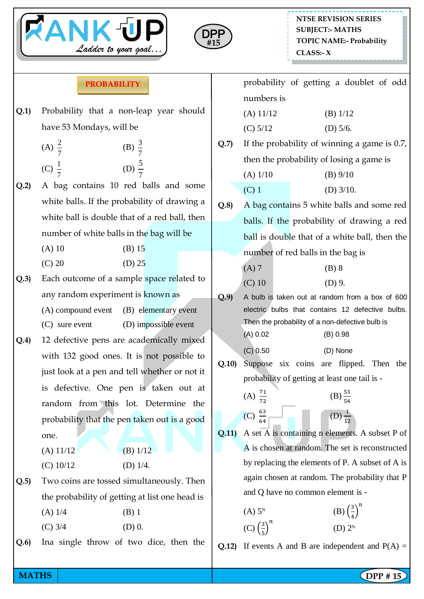



## **PROBABILITY**

**Q.1)** Probability that a non-leap year should have 53 Mondays, will be

(A) 
$$
\frac{2}{7}
$$
 \t\t (B)  $\frac{3}{7}$   
\n(C)  $\frac{1}{7}$  \t\t (D)  $\frac{5}{7}$ 

- **Q.2)** A bag contains 10 red balls and some white balls. If the probability of drawing a white ball is double that of a red ball, then number of white balls in the bag will be
	- $(A) 10$  (B) 15
	- $(C) 20$   $(D) 25$
- **Q.3)** Each outcome of a sample space related to any random experiment is known as (A) compound event (B) elementary event
	- (C) sure event (D) impossible event
- **Q.4)** 12 defective pens are academically mixed with 132 good ones. It is not possible to just look at a pen and tell whether or not it is defective. One pen is taken out at random from this lot. Determine the probability that the pen taken out is a good one.
	- (A)  $11/12$  (B)  $1/12$
	- (C)  $10/12$  (D)  $1/4$ .
- **Q.5)** Two coins are tossed simultaneously. Then the probability of getting at list one head is
	- $(A)$  1/4 (B) 1 (C)  $3/4$  (D) 0.
- **Q.6)** Ina single throw of two dice, then the

|      |                                                 | probability of getting a doublet of odd    |  |  |  |  |  |
|------|-------------------------------------------------|--------------------------------------------|--|--|--|--|--|
|      | numbers is                                      |                                            |  |  |  |  |  |
|      | $(A)$ 11/12                                     | $(B)$ 1/12                                 |  |  |  |  |  |
|      | (C) 5/12                                        | (D) $5/6$ .                                |  |  |  |  |  |
| Q.7  | If the probability of winning a game is $0.7$ , |                                            |  |  |  |  |  |
|      | then the probability of losing a game is        |                                            |  |  |  |  |  |
|      | $(A)$ 1/10                                      | $(B)$ 9/10                                 |  |  |  |  |  |
|      | $(C)$ 1                                         | (D) $3/10$ .                               |  |  |  |  |  |
| Q.8) | A bag contains 5 white balls and some red       |                                            |  |  |  |  |  |
|      |                                                 | balls. If the probability of drawing a red |  |  |  |  |  |
|      | ball is double that of a white ball, then the   |                                            |  |  |  |  |  |
|      | number of red balls in the bag is               |                                            |  |  |  |  |  |

- $(A) 7$  (B) 8  $(C) 10$   $(D) 9.$
- **Q.9)** A bulb is taken out at random from a box of 600 electric bulbs that contains 12 defective bulbs. Then the probability of a non-defective bulb is (A) 0.02 (B) 0.98
	- (C) 0.50 (D) None
- **Q.10)** Suppose six coins are flipped. Then the probability of getting at least one tail is -
	- (A)  $\frac{7}{7}$  $(B) \frac{55}{54}$ (C)  $\frac{6}{6}$  $\Box$  (D)  $\frac{1}{1}$
- **Q.11)** A set A is containing n elements. A subset P of A is chosen at random. The set is reconstructed by replacing the elements of P. A subset of A is again chosen at random. The probability that P and Q have no common element is -
	- $(A)$  5<sup>N</sup> (B)  $\left(\frac{3}{4}\right)$  $\left(\frac{3}{4}\right)^n$  $(C)$   $\left(\frac{3}{5}\right)$  $\frac{3}{5}$  $\boldsymbol{n}$ (D)  $2^{N}$
- **Q.12)** If events A and B are independent and  $P(A) =$

**MATHS**  $\begin{bmatrix} \text{DPP # 15} \\ \text{DPP} \end{bmatrix}$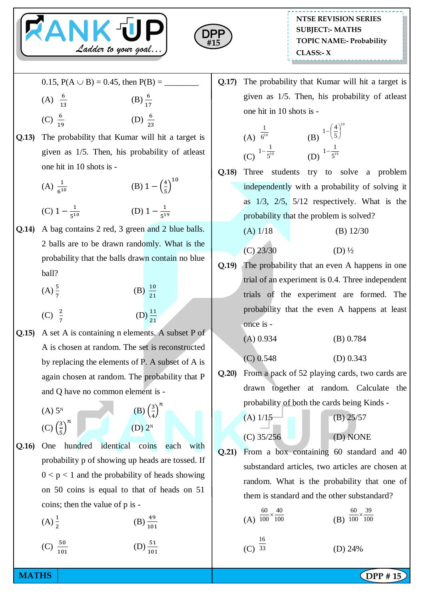



- 0.15,  $P(A \cup B) = 0.45$ , then  $P(B) =$
- (A)  $\frac{6}{1}$  $(B) \frac{1}{1}$

5

- (C)  $\frac{1}{1}$ (D)  $\frac{6}{2}$
- **Q.13)** The probability that Kumar will hit a target is given as 1/5. Then, his probability of atleast one hit in 10 shots is -

(A) 
$$
\frac{1}{6^{10}}
$$
   
\n(B)  $1 - \left(\frac{4}{5}\right)^{10}$   
\n(C)  $1 - \frac{1}{5^{10}}$    
\n(D)  $1 - \frac{1}{5^{19}}$ 

- **Q.14)** A bag contains 2 red, 3 green and 2 blue balls. 2 balls are to be drawn randomly. What is the probability that the balls drawn contain no blue ball?
	- $(A) \frac{5}{7}$ (B)  $\frac{10}{21}$ (C)  $\frac{2}{7}$  $(D) \frac{1}{2}$
- **Q.15)** A set A is containing n elements. A subset P of A is chosen at random. The set is reconstructed by replacing the elements of P. A subset of A is again chosen at random. The probability that P and Q have no common element is -
	- $(A)$  5<sup>N</sup>  $(C)$   $\left(\frac{3}{5}\right)$  $\left(\frac{3}{5}\right)^n$

$$
\begin{array}{c}\n \text{(B)} \left(\frac{1}{2}\right. \\
\text{(C)} \quad \text{(D)} \quad 2^{\text{N}}\n \end{array}
$$

3  $\frac{3}{4}$  $\boldsymbol{n}$ 

- **Q.16)** One hundred identical coins each with probability p of showing up heads are tossed. If  $0 < p < 1$  and the probability of heads showing on 50 coins is equal to that of heads on 51 coins; then the value of p is -
	- $(A) \frac{1}{2}$  $(B) \frac{1}{1}$
	- (C)  $\frac{3}{1}$  $(D) \frac{1}{1}$

**Q.17)** The probability that Kumar will hit a target is given as 1/5. Then, his probability of atleast one hit in 10 shots is -

(A) 
$$
\frac{1}{6^{10}}
$$
 (B)  $1-\left(\frac{4}{5}\right)^{10}$   
(C)  $1-\frac{1}{5^{10}}$  (D)  $1-\frac{1}{5^{19}}$ 

**Q.18)** Three students try to solve a problem independently with a probability of solving it as 1/3, 2/5, 5/12 respectively. What is the probability that the problem is solved?

$$
(A) 1/18 \t\t (B) 12/30
$$

- $(C)$  23/30  $(D)$   $\frac{1}{2}$
- **Q.19)** The probability that an even A happens in one trial of an experiment is 0.4. Three independent trials of the experiment are formed. The probability that the even A happens at least once is -

$$
(A) 0.934 \t\t (B) 0.784
$$

- (C) 0.548 (D) 0.343
- **Q.20)** From a pack of 52 playing cards, two cards are drawn together at random. Calculate the probability of both the cards being Kinds -
	- (A)  $1/15$  (B)  $25/57$ (C) 35/256 (D) NONE
		-
- **Q.21)** From a box containing 60 standard and 40 substandard articles, two articles are chosen at random. What is the probability that one of them is standard and the other substandard?

(A) 
$$
\frac{60}{100} \times \frac{40}{100}
$$
  
\n(B)  $\frac{60}{100} \times \frac{39}{100}$   
\n(C)  $\frac{16}{33}$   
\n(D) 24%

**MATHS**  $\begin{bmatrix} \text{DPP # 15} \\ \text{DPP} \end{bmatrix}$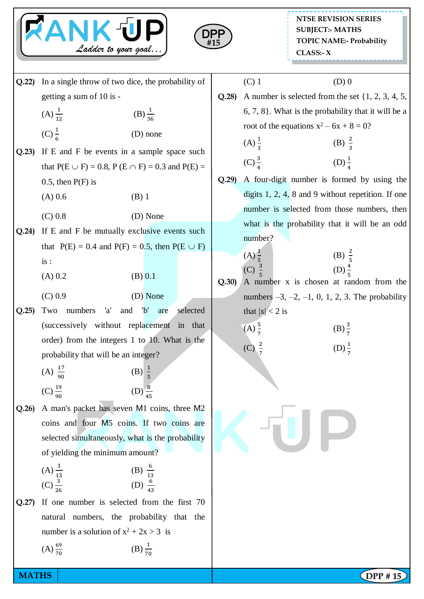



**Q.22)** In a single throw of two dice, the probability of getting a sum of 10 is -  $(A) \frac{1}{1}$  $(B) \frac{1}{36}$  $(C) \frac{1}{6}$  (D) none **Q.23)** If E and F be events in a sample space such that  $P(E \cup F) = 0.8$ ,  $P(E \cap F) = 0.3$  and  $P(E) =$  $0.5$ , then  $P(F)$  is  $(A) 0.6$  (B) 1 (C) 0.8 (D) None **Q.24)** If E and F be mutually exclusive events such that  $P(E) = 0.4$  and  $P(F) = 0.5$ , then  $P(E \cup F)$ is :  $(A) 0.2$  (B) 0.1 (C) 0.9 (D) None **Q.25)** Two numbers 'a' and 'b' are selected (successively without replacement in that order) from the integers 1 to 10. What is the probability that will be an integer?  $(A) \frac{1}{9}$  $(B) \frac{1}{5}$  $(C) \frac{1}{9}$  $(D) \frac{1}{4}$ **Q.26)** A man's packet has seven M1 coins, three M2 coins and four M5 coins. If two coins are selected simultaneously, what is the probability of yielding the minimum amount?  $(A) \frac{3}{1}$ (B)  $\frac{6}{1}$  $(C) \frac{1}{2}$ (D)  $\frac{6}{4}$ **Q.27)** If one number is selected from the first 70 natural numbers, the probability that the number is a solution of  $x^2 + 2x > 3$  is  $(A) \frac{6}{7}$  $(B) \frac{1}{70}$ 

## (C) 1 (D) 0

**Q.28)** A number is selected from the set {1, 2, 3, 4, 5, 6, 7, 8}. What is the probability that it will be a root of the equations  $x^2 - 6x + 8 = 0$ ?

(A) 
$$
\frac{1}{3}
$$
 \t\t (B)  $\frac{2}{3}$    
 (C)  $\frac{3}{4}$  \t\t (D)  $\frac{1}{4}$ 

**Q.29)** A four-digit number is formed by using the digits 1, 2, 4, 8 and 9 without repetition. If one number is selected from those numbers, then what is the probability that it will be an odd number?

(A) 
$$
\frac{1}{5}
$$
  
\n(C)  $\frac{3}{5}$   
\n(D)  $\frac{4}{5}$ 

**Q.30)** A number x is chosen at random from the numbers  $-3, -2, -1, 0, 1, 2, 3$ . The probability that  $|x| < 2$  is

(A) 
$$
\frac{5}{7}
$$
 (B)  $\frac{3}{7}$ 

 $(C)$ 

$$
\frac{2}{7} \qquad \qquad (D) \frac{1}{7}
$$

**MATHS**  $\begin{bmatrix} \text{DPP # 15} \\ \text{DPP} \end{bmatrix}$